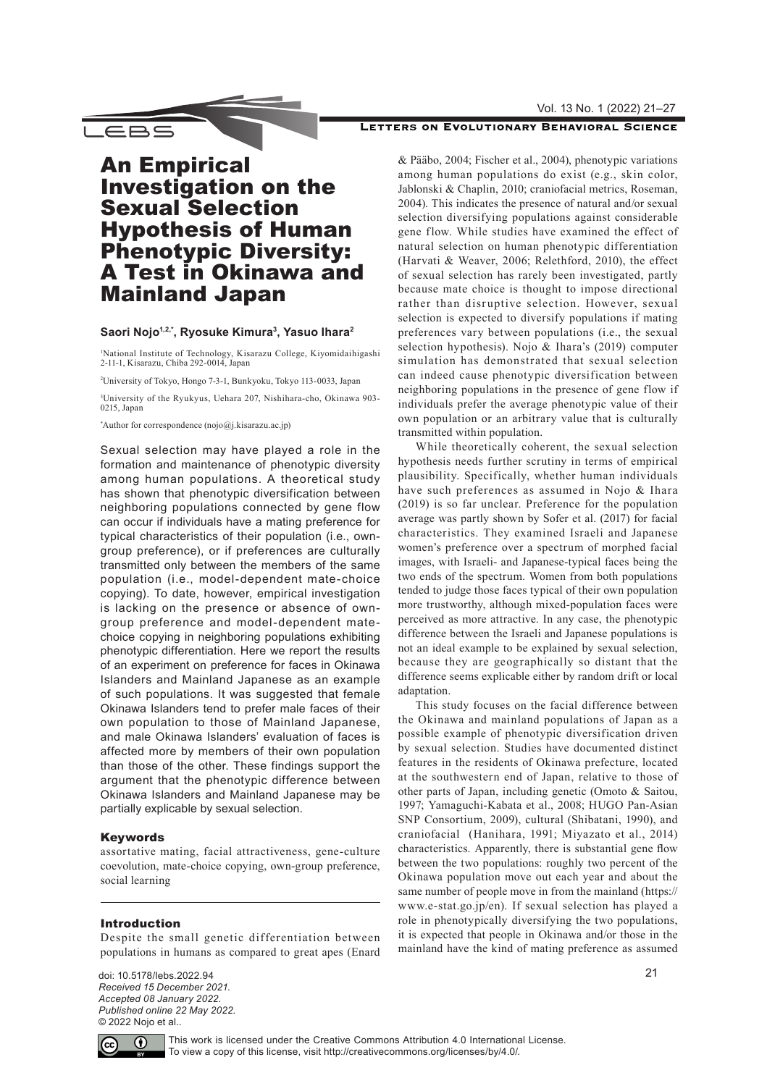#### Vol. 13 No. 1 (2022) 21–27

## LETTERS ON EVOLUTIONARY BEHAVIORAL SCIENCE

**LEBS** 

# An Empirical Investigation on the Sexual Selection Hypothesis of Human Phenotypic Diversity: A Test in Okinawa and Mainland Japan

## **Saori Nojo1,2,\*, Ryosuke Kimura3, Yasuo Ihara2**

1 National Institute of Technology, Kisarazu College, Kiyomidaihigashi 2-11-1, Kisarazu, Chiba 292-0014, Japan

2 University of Tokyo, Hongo 7-3-1, Bunkyoku, Tokyo 113-0033, Japan

3 University of the Ryukyus, Uehara 207, Nishihara-cho, Okinawa 903- 0215, Japan

\* Author for correspondence ([nojo@j.kisarazu.ac.jp](mailto:nojo%40j.kisarazu.ac.jp?subject=))

Sexual selection may have played a role in the formation and maintenance of phenotypic diversity among human populations. A theoretical study has shown that phenotypic diversification between neighboring populations connected by gene flow can occur if individuals have a mating preference for typical characteristics of their population (i.e., owngroup preference), or if preferences are culturally transmitted only between the members of the same population (i.e., model-dependent mate-choice copying). To date, however, empirical investigation is lacking on the presence or absence of owngroup preference and model-dependent matechoice copying in neighboring populations exhibiting phenotypic differentiation. Here we report the results of an experiment on preference for faces in Okinawa Islanders and Mainland Japanese as an example of such populations. It was suggested that female Okinawa Islanders tend to prefer male faces of their own population to those of Mainland Japanese, and male Okinawa Islanders' evaluation of faces is affected more by members of their own population than those of the other. These findings support the argument that the phenotypic difference between Okinawa Islanders and Mainland Japanese may be partially explicable by sexual selection.

#### Keywords

assortative mating, facial attractiveness, gene-culture coevolution, mate-choice copying, own-group preference, social learning

#### Introduction

Despite the small genetic differentiation between populations in humans as compared to great apes (Enard

doi: 10.5178/lebs.2022.94 *Received 15 December 2021. Accepted 08 January 2022. Published online 22 May 2022.* © 2022 Nojo et al..

& Pääbo, 2004; Fischer et al., 2004), phenotypic variations among human populations do exist (e.g., skin color, Jablonski & Chaplin, 2010; craniofacial metrics, Roseman, 2004). This indicates the presence of natural and/or sexual selection diversifying populations against considerable gene flow. While studies have examined the effect of natural selection on human phenotypic differentiation (Harvati & Weaver, 2006; Relethford, 2010), the effect of sexual selection has rarely been investigated, partly because mate choice is thought to impose directional rather than disruptive selection. However, sexual selection is expected to diversify populations if mating preferences vary between populations (i.e., the sexual selection hypothesis). Nojo & Ihara's (2019) computer simulation has demonstrated that sexual selection can indeed cause phenotypic diversification between neighboring populations in the presence of gene flow if individuals prefer the average phenotypic value of their own population or an arbitrary value that is culturally transmitted within population.

While theoretically coherent, the sexual selection hypothesis needs further scrutiny in terms of empirical plausibility. Specifically, whether human individuals have such preferences as assumed in Nojo & Ihara (2019) is so far unclear. Preference for the population average was partly shown by Sofer et al. (2017) for facial characteristics. They examined Israeli and Japanese women's preference over a spectrum of morphed facial images, with Israeli- and Japanese-typical faces being the two ends of the spectrum. Women from both populations tended to judge those faces typical of their own population more trustworthy, although mixed-population faces were perceived as more attractive. In any case, the phenotypic difference between the Israeli and Japanese populations is not an ideal example to be explained by sexual selection, because they are geographically so distant that the difference seems explicable either by random drift or local adaptation.

This study focuses on the facial difference between the Okinawa and mainland populations of Japan as a possible example of phenotypic diversification driven by sexual selection. Studies have documented distinct features in the residents of Okinawa prefecture, located at the southwestern end of Japan, relative to those of other parts of Japan, including genetic (Omoto & Saitou, 1997; Yamaguchi-Kabata et al., 2008; HUGO Pan-Asian SNP Consortium, 2009), cultural (Shibatani, 1990), and craniofacial (Hanihara, 1991; Miyazato et al., 2014) characteristics. Apparently, there is substantial gene flow between the two populations: roughly two percent of the Okinawa population move out each year and about the same number of people move in from the mainland (https:// www.e-stat.go.jp/en). If sexual selection has played a role in phenotypically diversifying the two populations, it is expected that people in Okinawa and/or those in the mainland have the kind of mating preference as assumed



This work is licensed under the Creative Commons Attribution 4.0 International License. To view a copy of this license, visit <http://creativecommons.org/licenses/by/4.0/>.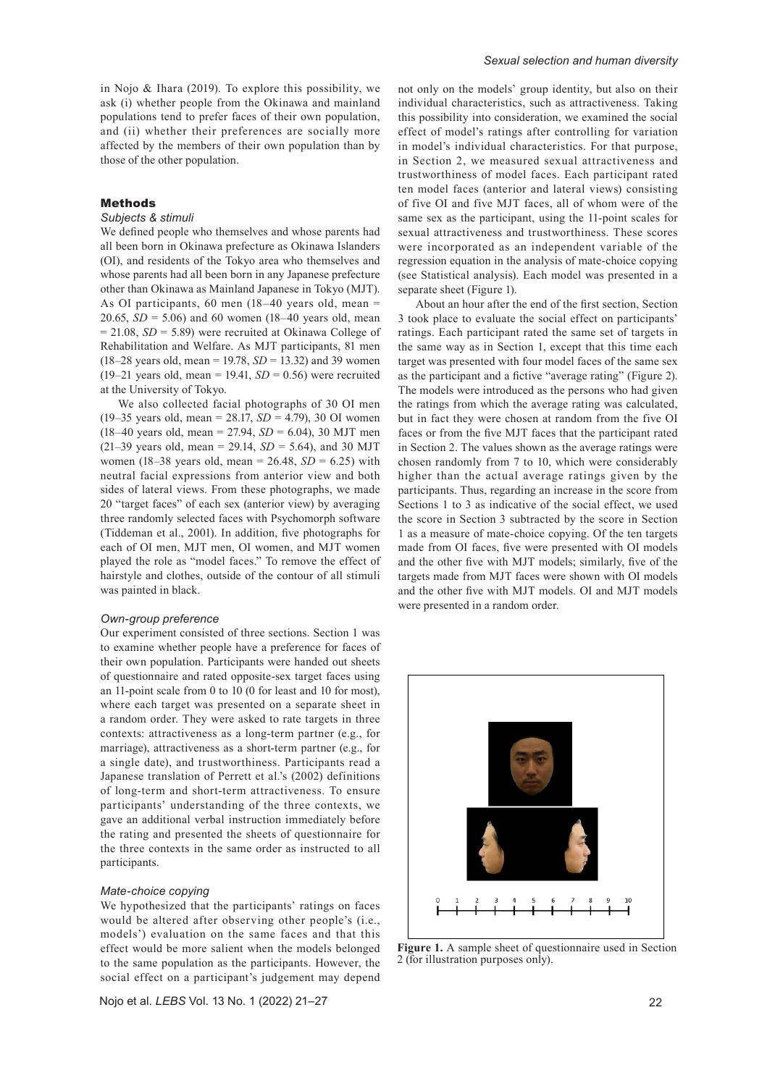in Nojo & Ihara (2019). To explore this possibility, we ask (i) whether people from the Okinawa and mainland populations tend to prefer faces of their own population, and (ii) whether their preferences are socially more affected by the members of their own population than by those of the other population.

## Methods

#### *Subjects & stimuli*

We defined people who themselves and whose parents had all been born in Okinawa prefecture as Okinawa Islanders (OI), and residents of the Tokyo area who themselves and whose parents had all been born in any Japanese prefecture other than Okinawa as Mainland Japanese in Tokyo (MJT). As OI participants, 60 men  $(18-40$  years old, mean = 20.65,  $SD = 5.06$ ) and 60 women (18–40 years old, mean  $= 21.08$ , *SD* = 5.89) were recruited at Okinawa College of Rehabilitation and Welfare. As MJT participants, 81 men (18–28 years old, mean = 19.78, *SD* = 13.32) and 39 women (19–21 years old, mean = 19.41,  $SD = 0.56$ ) were recruited at the University of Tokyo.

We also collected facial photographs of 30 OI men (19–35 years old, mean = 28.17, *SD* = 4.79), 30 OI women (18–40 years old, mean = 27.94, *SD* = 6.04), 30 MJT men (21–39 years old, mean = 29.14, *SD* = 5.64), and 30 MJT women (18–38 years old, mean =  $26.48$ ,  $SD = 6.25$ ) with neutral facial expressions from anterior view and both sides of lateral views. From these photographs, we made 20 "target faces" of each sex (anterior view) by averaging three randomly selected faces with Psychomorph software (Tiddeman et al., 2001). In addition, five photographs for each of OI men, MJT men, OI women, and MJT women played the role as "model faces." To remove the effect of hairstyle and clothes, outside of the contour of all stimuli was painted in black.

#### *Own-group preference*

Our experiment consisted of three sections. Section 1 was to examine whether people have a preference for faces of their own population. Participants were handed out sheets of questionnaire and rated opposite-sex target faces using an 11-point scale from 0 to 10 (0 for least and 10 for most), where each target was presented on a separate sheet in a random order. They were asked to rate targets in three contexts: attractiveness as a long-term partner (e.g., for marriage), attractiveness as a short-term partner (e.g., for a single date), and trustworthiness. Participants read a Japanese translation of Perrett et al.'s (2002) definitions of long-term and short-term attractiveness. To ensure participants' understanding of the three contexts, we gave an additional verbal instruction immediately before the rating and presented the sheets of questionnaire for the three contexts in the same order as instructed to all participants.

#### *Mate-choice copying*

We hypothesized that the participants' ratings on faces would be altered after observing other people's (i.e., models') evaluation on the same faces and that this effect would be more salient when the models belonged to the same population as the participants. However, the social effect on a participant's judgement may depend

Nojo et al. *LEBS* Vol. 13 No. 1 (2022) 21–27

not only on the models' group identity, but also on their individual characteristics, such as attractiveness. Taking this possibility into consideration, we examined the social effect of model's ratings after controlling for variation in model's individual characteristics. For that purpose, in Section 2, we measured sexual attractiveness and trustworthiness of model faces. Each participant rated ten model faces (anterior and lateral views) consisting of five OI and five MJT faces, all of whom were of the same sex as the participant, using the 11-point scales for sexual attractiveness and trustworthiness. These scores were incorporated as an independent variable of the regression equation in the analysis of mate-choice copying (see Statistical analysis). Each model was presented in a separate sheet (Figure 1).

About an hour after the end of the first section, Section 3 took place to evaluate the social effect on participants' ratings. Each participant rated the same set of targets in the same way as in Section 1, except that this time each target was presented with four model faces of the same sex as the participant and a fictive "average rating" (Figure 2). The models were introduced as the persons who had given the ratings from which the average rating was calculated, but in fact they were chosen at random from the five OI faces or from the five MJT faces that the participant rated in Section 2. The values shown as the average ratings were chosen randomly from 7 to 10, which were considerably higher than the actual average ratings given by the participants. Thus, regarding an increase in the score from Sections 1 to 3 as indicative of the social effect, we used the score in Section 3 subtracted by the score in Section 1 as a measure of mate-choice copying. Of the ten targets made from OI faces, five were presented with OI models and the other five with MJT models; similarly, five of the targets made from MJT faces were shown with OI models and the other five with MJT models. OI and MJT models were presented in a random order.



**Figure 1.** A sample sheet of questionnaire used in Section 2 (for illustration purposes only).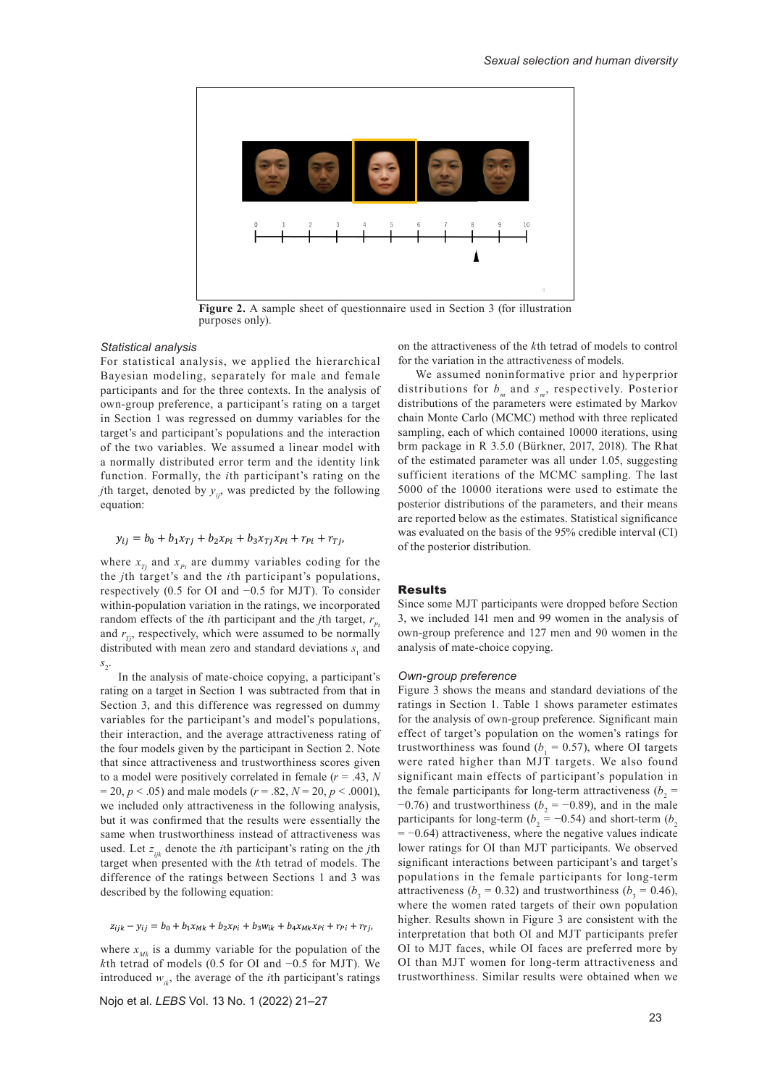

**Figure 2.** A sample sheet of questionnaire used in Section 3 (for illustration purposes only).

## *Statistical analysis*

For statistical analysis, we applied the hierarchical Bayesian modeling, separately for male and female participants and for the three contexts. In the analysis of own-group preference, a participant's rating on a target in Section 1 was regressed on dummy variables for the target's and participant's populations and the interaction of the two variables. We assumed a linear model with a normally distributed error term and the identity link function. Formally, the *i*th participant's rating on the *j*th target, denoted by  $y_{ij}$ , was predicted by the following equation:

## $y_{ij} = b_0 + b_1 x_{Tj} + b_2 x_{Pi} + b_3 x_{Tj} x_{Pi} + r_{Pi} + r_{Tj},$

where  $x_{Tj}$  and  $x_{Pj}$  are dummy variables coding for the the *j*th target's and the *i*th participant's populations, respectively (0.5 for OI and −0.5 for MJT). To consider within-population variation in the ratings, we incorporated random effects of the *i*th participant and the *j*th target,  $r_{p_i}$ and  $r_{T_i}$ , respectively, which were assumed to be normally distributed with mean zero and standard deviations  $s_1$  and  $s<sub>2</sub>$ .

In the analysis of mate-choice copying, a participant's rating on a target in Section 1 was subtracted from that in Section 3, and this difference was regressed on dummy variables for the participant's and model's populations, their interaction, and the average attractiveness rating of the four models given by the participant in Section 2. Note that since attractiveness and trustworthiness scores given to a model were positively correlated in female (*r* = .43, *N*  $= 20, p < .05$  and male models ( $r = .82, N = 20, p < .0001$ ), we included only attractiveness in the following analysis, but it was confirmed that the results were essentially the same when trustworthiness instead of attractiveness was used. Let  $z_{ijk}$  denote the *i*th participant's rating on the *j*th target when presented with the *k*th tetrad of models. The difference of the ratings between Sections 1 and 3 was described by the following equation:

 $z_{ijk} - y_{ij} = b_0 + b_1 x_{Mk} + b_2 x_{Pi} + b_3 w_{ik} + b_4 x_{Mk} x_{Pi} + r_{Pi} + r_{Ti}$ 

where  $x_{Mk}$  is a dummy variable for the population of the *k*th tetrad of models (0.5 for OI and −0.5 for MJT). We introduced  $w_{ik}$ , the average of the *i*th participant's ratings

Nojo et al. *LEBS* Vol. 13 No. 1 (2022) 21–27

on the attractiveness of the *k*th tetrad of models to control for the variation in the attractiveness of models.

We assumed noninformative prior and hyperprior distributions for  $b_m$  and  $s_m$ , respectively. Posterior distributions of the parameters were estimated by Markov chain Monte Carlo (MCMC) method with three replicated sampling, each of which contained 10000 iterations, using brm package in R 3.5.0 (Bürkner, 2017, 2018). The Rhat of the estimated parameter was all under 1.05, suggesting sufficient iterations of the MCMC sampling. The last 5000 of the 10000 iterations were used to estimate the posterior distributions of the parameters, and their means are reported below as the estimates. Statistical significance was evaluated on the basis of the 95% credible interval (CI) of the posterior distribution.

## Results

Since some MJT participants were dropped before Section 3, we included 141 men and 99 women in the analysis of own-group preference and 127 men and 90 women in the analysis of mate-choice copying.

## *Own-group preference*

Figure 3 shows the means and standard deviations of the ratings in Section 1. Table 1 shows parameter estimates for the analysis of own-group preference. Significant main effect of target's population on the women's ratings for trustworthiness was found  $(b_1 = 0.57)$ , where OI targets were rated higher than MJT targets. We also found significant main effects of participant's population in the female participants for long-term attractiveness  $(b_2 =$  $-0.76$ ) and trustworthiness ( $b<sub>2</sub> = -0.89$ ), and in the male participants for long-term ( $b<sub>2</sub>$  = -0.54) and short-term ( $b<sub>2</sub>$  $= -0.64$ ) attractiveness, where the negative values indicate lower ratings for OI than MJT participants. We observed significant interactions between participant's and target's populations in the female participants for long-term attractiveness ( $b_3 = 0.32$ ) and trustworthiness ( $b_3 = 0.46$ ), where the women rated targets of their own population higher. Results shown in Figure 3 are consistent with the interpretation that both OI and MJT participants prefer OI to MJT faces, while OI faces are preferred more by OI than MJT women for long-term attractiveness and trustworthiness. Similar results were obtained when we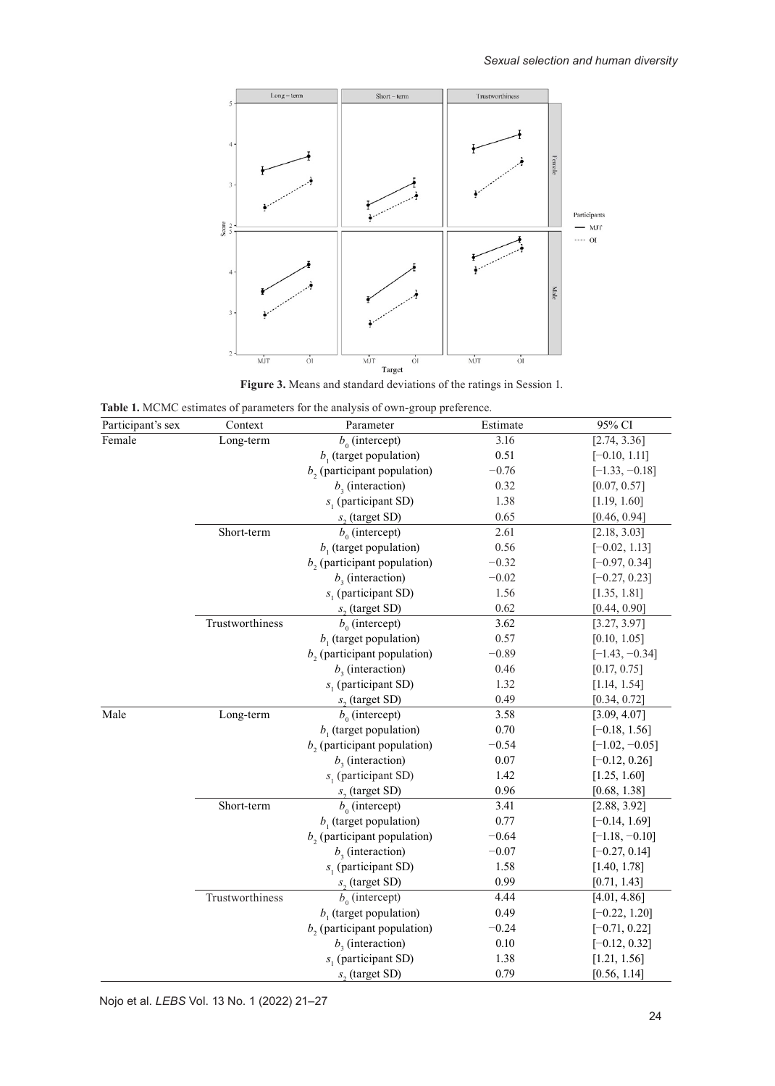

**Figure 3.** Means and standard deviations of the ratings in Session 1.

| Table 1. MCMC estimates of parameters for the analysis of own-group preference. |  |  |
|---------------------------------------------------------------------------------|--|--|
|---------------------------------------------------------------------------------|--|--|

| Participant's sex | Context         | Parameter                     | Estimate | 95% CI           |
|-------------------|-----------------|-------------------------------|----------|------------------|
| Female            | Long-term       | $b_0$ (intercept)             | 3.16     | [2.74, 3.36]     |
|                   |                 | $b1$ (target population)      | 0.51     | $[-0.10, 1.11]$  |
|                   |                 | $b2$ (participant population) | $-0.76$  | $[-1.33, -0.18]$ |
|                   |                 | $b3$ (interaction)            | 0.32     | [0.07, 0.57]     |
|                   |                 | $s1$ (participant SD)         | 1.38     | [1.19, 1.60]     |
|                   |                 | $s2$ (target SD)              | 0.65     | [0.46, 0.94]     |
|                   | Short-term      | $b_0$ (intercept)             | 2.61     | [2.18, 3.03]     |
|                   |                 | $b1$ (target population)      | 0.56     | $[-0.02, 1.13]$  |
|                   |                 | $b2$ (participant population) | $-0.32$  | $[-0.97, 0.34]$  |
|                   |                 | $b3$ (interaction)            | $-0.02$  | $[-0.27, 0.23]$  |
|                   |                 | $s_1$ (participant SD)        | 1.56     | [1.35, 1.81]     |
|                   |                 | $s2$ (target SD)              | 0.62     | [0.44, 0.90]     |
|                   | Trustworthiness | $b_0$ (intercept)             | 3.62     | [3.27, 3.97]     |
|                   |                 | $b1$ (target population)      | 0.57     | [0.10, 1.05]     |
|                   |                 | $b2$ (participant population) | $-0.89$  | $[-1.43, -0.34]$ |
|                   |                 | $b3$ (interaction)            | 0.46     | [0.17, 0.75]     |
|                   |                 | $s1$ (participant SD)         | 1.32     | [1.14, 1.54]     |
|                   |                 | $s2$ (target SD)              | 0.49     | [0.34, 0.72]     |
| Male              | Long-term       | $b_0$ (intercept)             | 3.58     | [3.09, 4.07]     |
|                   |                 | $b1$ (target population)      | 0.70     | $[-0.18, 1.56]$  |
|                   |                 | $b2$ (participant population) | $-0.54$  | $[-1.02, -0.05]$ |
|                   |                 | $b3$ (interaction)            | 0.07     | $[-0.12, 0.26]$  |
|                   |                 | $s1$ (participant SD)         | 1.42     | [1.25, 1.60]     |
|                   |                 | $s2$ (target SD)              | 0.96     | [0.68, 1.38]     |
|                   | Short-term      | $b_0$ (intercept)             | 3.41     | [2.88, 3.92]     |
|                   |                 | $b1$ (target population)      | 0.77     | $[-0.14, 1.69]$  |
|                   |                 | $b2$ (participant population) | $-0.64$  | $[-1.18, -0.10]$ |
|                   |                 | $b3$ (interaction)            | $-0.07$  | $[-0.27, 0.14]$  |
|                   |                 | $s_1$ (participant SD)        | 1.58     | [1.40, 1.78]     |
|                   |                 | $s2$ (target SD)              | 0.99     | [0.71, 1.43]     |
|                   | Trustworthiness | $b_0$ (intercept)             | 4.44     | [4.01, 4.86]     |
|                   |                 | $b1$ (target population)      | 0.49     | $[-0.22, 1.20]$  |
|                   |                 | $b2$ (participant population) | $-0.24$  | $[-0.71, 0.22]$  |
|                   |                 | $b3$ (interaction)            | 0.10     | $[-0.12, 0.32]$  |
|                   |                 | $s_1$ (participant SD)        | 1.38     | [1.21, 1.56]     |
|                   |                 | $s2$ (target SD)              | 0.79     | [0.56, 1.14]     |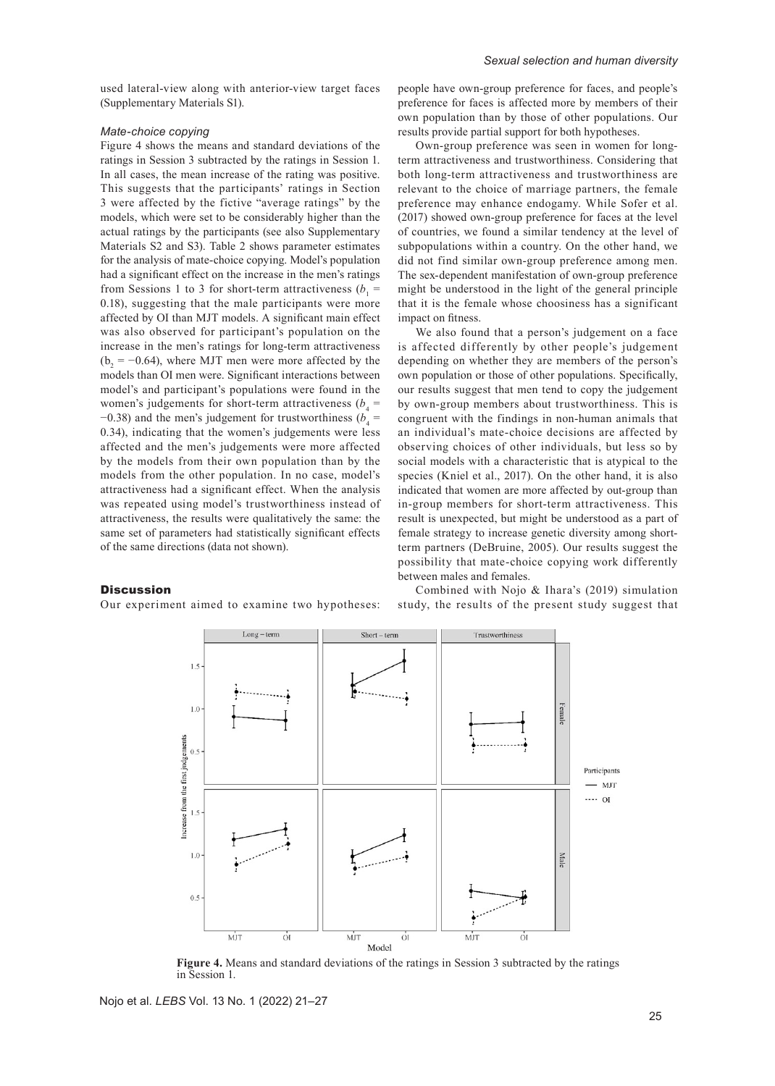used lateral-view along with anterior-view target faces (Supplementary Materials S1).

## *Mate-choice copying*

Figure 4 shows the means and standard deviations of the ratings in Session 3 subtracted by the ratings in Session 1. In all cases, the mean increase of the rating was positive. This suggests that the participants' ratings in Section 3 were affected by the fictive "average ratings" by the models, which were set to be considerably higher than the actual ratings by the participants (see also Supplementary Materials S2 and S3). Table 2 shows parameter estimates for the analysis of mate-choice copying. Model's population had a significant effect on the increase in the men's ratings from Sessions 1 to 3 for short-term attractiveness  $(b_1 =$ 0.18), suggesting that the male participants were more affected by OI than MJT models. A significant main effect was also observed for participant's population on the increase in the men's ratings for long-term attractiveness  $(b_2 = -0.64)$ , where MJT men were more affected by the models than OI men were. Significant interactions between model's and participant's populations were found in the women's judgements for short-term attractiveness  $(b_4 =$  $-0.38$ ) and the men's judgement for trustworthiness ( $b_4$  = 0.34), indicating that the women's judgements were less affected and the men's judgements were more affected by the models from their own population than by the models from the other population. In no case, model's attractiveness had a significant effect. When the analysis was repeated using model's trustworthiness instead of attractiveness, the results were qualitatively the same: the same set of parameters had statistically significant effects of the same directions (data not shown).

## **Discussion**

Our experiment aimed to examine two hypotheses:

people have own-group preference for faces, and people's preference for faces is affected more by members of their own population than by those of other populations. Our results provide partial support for both hypotheses.

Own-group preference was seen in women for longterm attractiveness and trustworthiness. Considering that both long-term attractiveness and trustworthiness are relevant to the choice of marriage partners, the female preference may enhance endogamy. While Sofer et al. (2017) showed own-group preference for faces at the level of countries, we found a similar tendency at the level of subpopulations within a country. On the other hand, we did not find similar own-group preference among men. The sex-dependent manifestation of own-group preference might be understood in the light of the general principle that it is the female whose choosiness has a significant impact on fitness.

We also found that a person's judgement on a face is affected differently by other people's judgement depending on whether they are members of the person's own population or those of other populations. Specifically, our results suggest that men tend to copy the judgement by own-group members about trustworthiness. This is congruent with the findings in non-human animals that an individual's mate-choice decisions are affected by observing choices of other individuals, but less so by social models with a characteristic that is atypical to the species (Kniel et al., 2017). On the other hand, it is also indicated that women are more affected by out-group than in-group members for short-term attractiveness. This result is unexpected, but might be understood as a part of female strategy to increase genetic diversity among shortterm partners (DeBruine, 2005). Our results suggest the possibility that mate-choice copying work differently between males and females.

Combined with Nojo & Ihara's (2019) simulation study, the results of the present study suggest that



**Figure 4.** Means and standard deviations of the ratings in Session 3 subtracted by the ratings in Session 1.

Nojo et al. *LEBS* Vol. 13 No. 1 (2022) 21–27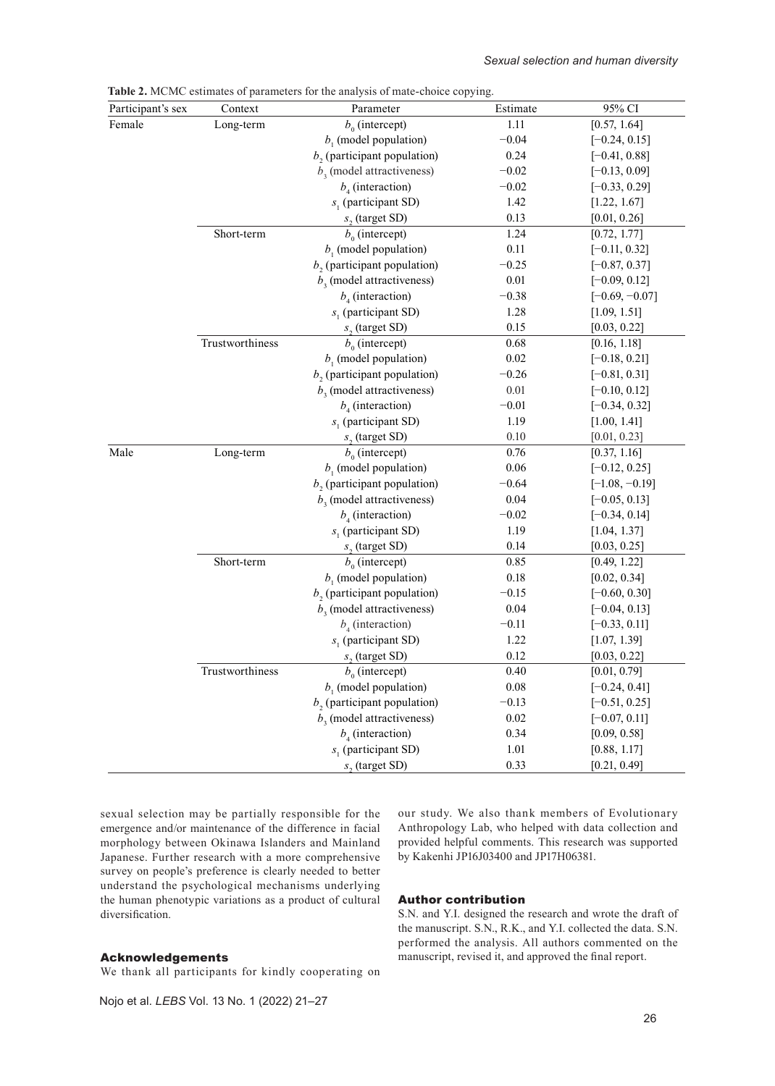| Participant's sex | Context         | Parameter                                 | Estimate | 95% CI           |
|-------------------|-----------------|-------------------------------------------|----------|------------------|
| Female            | Long-term       | $b_0$ (intercept)                         | 1.11     | [0.57, 1.64]     |
|                   |                 | $b1$ (model population)                   | $-0.04$  | $[-0.24, 0.15]$  |
|                   |                 | $b2$ (participant population)             | 0.24     | $[-0.41, 0.88]$  |
|                   |                 | $b3$ (model attractiveness)               | $-0.02$  | $[-0.13, 0.09]$  |
|                   |                 | $b_4$ (interaction)                       | $-0.02$  | $[-0.33, 0.29]$  |
|                   |                 | $s1$ (participant SD)                     | 1.42     | [1.22, 1.67]     |
|                   |                 | $s2$ (target SD)                          | 0.13     | [0.01, 0.26]     |
|                   | Short-term      | $b_0$ (intercept)                         | 1.24     | [0.72, 1.77]     |
|                   |                 | $b1$ (model population)                   | 0.11     | $[-0.11, 0.32]$  |
|                   |                 | $b2$ (participant population)             | $-0.25$  | $[-0.87, 0.37]$  |
|                   |                 | $b3$ (model attractiveness)               | 0.01     | $[-0.09, 0.12]$  |
|                   |                 | $b_4$ (interaction)                       | $-0.38$  | $[-0.69, -0.07]$ |
|                   |                 | $s1$ (participant SD)                     | 1.28     | [1.09, 1.51]     |
|                   |                 | $s2$ (target SD)                          | 0.15     | [0.03, 0.22]     |
|                   | Trustworthiness | $b_0$ (intercept)                         | 0.68     | [0.16, 1.18]     |
|                   |                 | $b1$ (model population)                   | 0.02     | $[-0.18, 0.21]$  |
|                   |                 | $b2$ (participant population)             | $-0.26$  | $[-0.81, 0.31]$  |
|                   |                 | $b3$ (model attractiveness)               | 0.01     | $[-0.10, 0.12]$  |
|                   |                 | $b_4$ (interaction)                       | $-0.01$  | $[-0.34, 0.32]$  |
|                   |                 | $s1$ (participant SD)                     | 1.19     | [1.00, 1.41]     |
|                   |                 | s <sub>2</sub> (target SD)                | 0.10     | [0.01, 0.23]     |
| Male              | Long-term       | $b_0$ (intercept)                         | 0.76     | [0.37, 1.16]     |
|                   |                 | $b1$ (model population)                   | 0.06     | $[-0.12, 0.25]$  |
|                   |                 | $b2$ (participant population)             | $-0.64$  | $[-1.08, -0.19]$ |
|                   |                 | $b3$ (model attractiveness)               | 0.04     | $[-0.05, 0.13]$  |
|                   |                 | $b4$ (interaction)                        | $-0.02$  | $[-0.34, 0.14]$  |
|                   |                 | $s_1$ (participant SD)                    | 1.19     | [1.04, 1.37]     |
|                   |                 | $s2$ (target SD)                          | 0.14     | [0.03, 0.25]     |
|                   | Short-term      | $b_0$ (intercept)                         | 0.85     | [0.49, 1.22]     |
|                   |                 | $b1$ (model population)                   | 0.18     | [0.02, 0.34]     |
|                   |                 | $b2$ (participant population)             | $-0.15$  | $[-0.60, 0.30]$  |
|                   |                 | $b3$ (model attractiveness)               | 0.04     | $[-0.04, 0.13]$  |
|                   |                 | $b_{\scriptscriptstyle{A}}$ (interaction) | $-0.11$  | $[-0.33, 0.11]$  |
|                   |                 | $s1$ (participant SD)                     | 1.22     | [1.07, 1.39]     |
|                   |                 | $s2$ (target SD)                          | 0.12     | [0.03, 0.22]     |
|                   | Trustworthiness | $b_0$ (intercept)                         | 0.40     | [0.01, 0.79]     |
|                   |                 | $b1$ (model population)                   | $0.08\,$ | $[-0.24, 0.41]$  |
|                   |                 | $b2$ (participant population)             | $-0.13$  | $[-0.51, 0.25]$  |
|                   |                 | $b3$ (model attractiveness)               | 0.02     | $[-0.07, 0.11]$  |
|                   |                 | $b_4$ (interaction)                       | 0.34     | [0.09, 0.58]     |
|                   |                 | $s1$ (participant SD)                     | 1.01     | [0.88, 1.17]     |
|                   |                 | s, (target SD)                            | 0.33     | [0.21, 0.49]     |

**Table 2.** MCMC estimates of parameters for the analysis of mate-choice copying.

sexual selection may be partially responsible for the emergence and/or maintenance of the difference in facial morphology between Okinawa Islanders and Mainland Japanese. Further research with a more comprehensive survey on people's preference is clearly needed to better understand the psychological mechanisms underlying the human phenotypic variations as a product of cultural diversification.

## Acknowledgements

We thank all participants for kindly cooperating on

our study. We also thank members of Evolutionary Anthropology Lab, who helped with data collection and provided helpful comments. This research was supported by Kakenhi JP16J03400 and JP17H06381.

## Author contribution

S.N. and Y.I. designed the research and wrote the draft of the manuscript. S.N., R.K., and Y.I. collected the data. S.N. performed the analysis. All authors commented on the manuscript, revised it, and approved the final report.

Nojo et al. *LEBS* Vol. 13 No. 1 (2022) 21–27